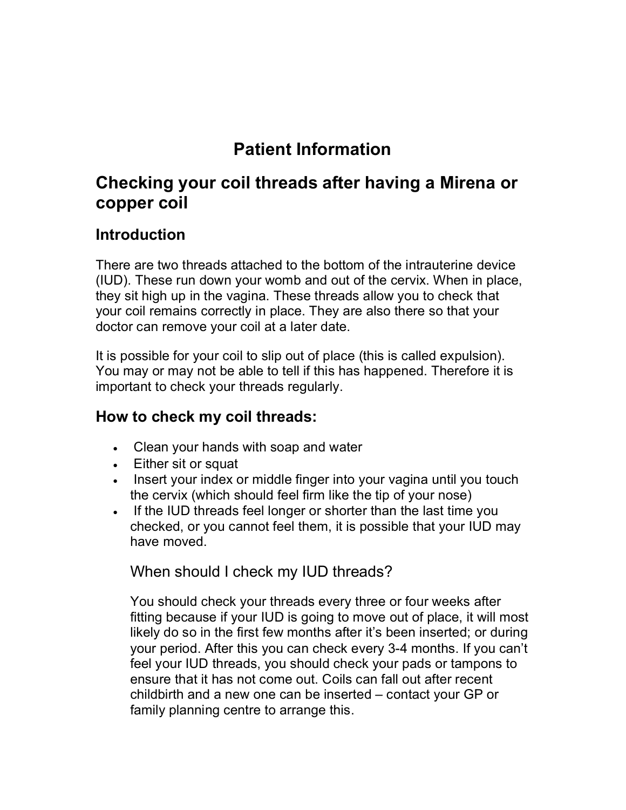# **Patient Information**

# **Checking your coil threads after having a Mirena or copper coil**

## **Introduction**

There are two threads attached to the bottom of the intrauterine device (IUD). These run down your womb and out of the cervix. When in place, they sit high up in the vagina. These threads allow you to check that your coil remains correctly in place. They are also there so that your doctor can remove your coil at a later date.

It is possible for your coil to slip out of place (this is called expulsion). You may or may not be able to tell if this has happened. Therefore it is important to check your threads regularly.

#### **How to check my coil threads:**

- Clean your hands with soap and water
- Either sit or squat
- Insert your index or middle finger into your vagina until you touch the cervix (which should feel firm like the tip of your nose)
- If the IUD threads feel longer or shorter than the last time you checked, or you cannot feel them, it is possible that your IUD may have moved.

When should I check my IUD threads?

You should check your threads every three or four weeks after fitting because if your IUD is going to move out of place, it will most likely do so in the first few months after it's been inserted; or during your period. After this you can check every 3-4 months. If you can't feel your IUD threads, you should check your pads or tampons to ensure that it has not come out. Coils can fall out after recent childbirth and a new one can be inserted – contact your GP or family planning centre to arrange this.